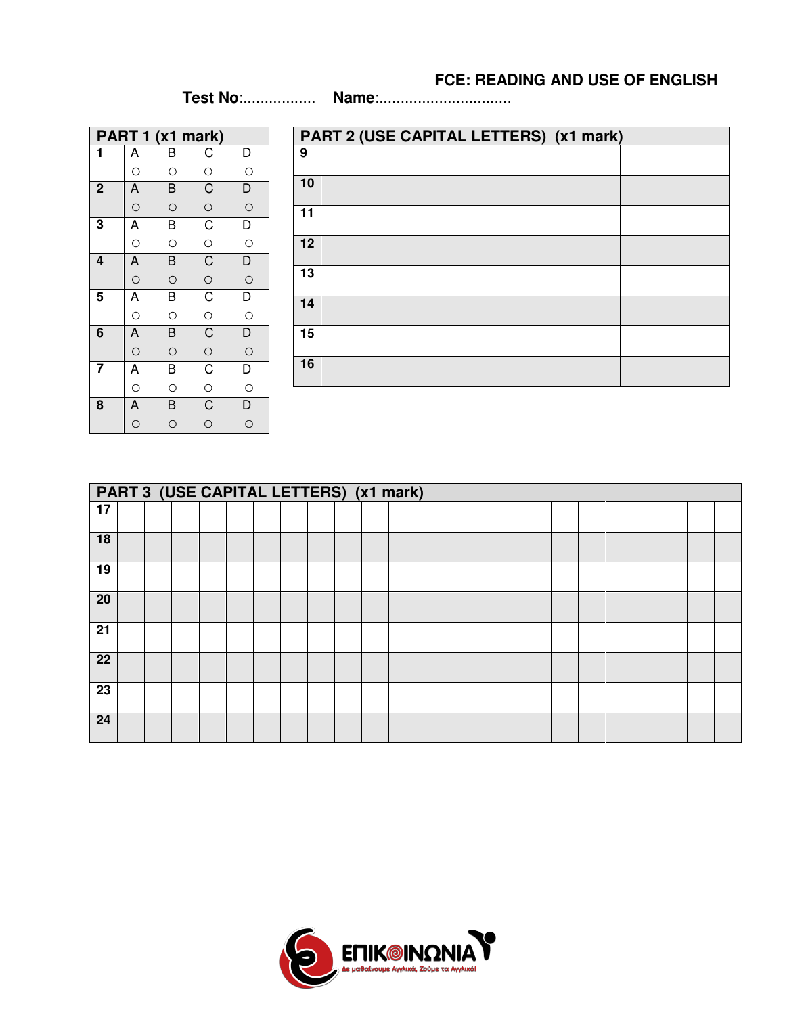## **FCE: READING AND USE OF ENGLISH**

(1h 15 min) - **Test No**:................. **Name**:...............................

|             |                                                                            | PART 1 (x1 mark) |                                                             |                |
|-------------|----------------------------------------------------------------------------|------------------|-------------------------------------------------------------|----------------|
| 1           | A                                                                          | Β                | $\mathsf{C}$                                                | $\mathsf{D}$   |
|             | $\circ$                                                                    | $\circ$          | $\circ$                                                     | $\circ$        |
| $\mathbf 2$ |                                                                            | $\overline{B}$   |                                                             | $\overline{D}$ |
|             | $\overline{A}$                                                             | $\circ$          | $\overline{C}$ $\overline{C}$ $\overline{C}$ $\overline{C}$ | $\circ$        |
| 3           | $\overrightarrow{A}$                                                       | B                |                                                             | $\overline{D}$ |
|             |                                                                            | $\circ$          |                                                             |                |
| 4           | $\frac{0}{A}$                                                              | B                |                                                             | $\overline{D}$ |
|             |                                                                            | $\circ$          |                                                             | $\circ$        |
| 5           | A                                                                          | $\overline{B}$   | $\overline{C}$ o $\overline{C}$                             | $\overline{D}$ |
|             |                                                                            | $\circ$          |                                                             |                |
| 6           |                                                                            | $\overline{B}$   |                                                             | $\overline{D}$ |
|             |                                                                            | $\circ$          |                                                             | $\circ$        |
| 7           |                                                                            | $\overline{B}$   |                                                             | $\overline{D}$ |
|             |                                                                            | $\circ$          | $\frac{1}{C}$                                               |                |
| 8           | $\overline{A}$ $\overline{A}$ $\overline{A}$ $\overline{A}$ $\overline{A}$ | $\overline{B}$   |                                                             | $\frac{0}{D}$  |
|             |                                                                            | O                | $\circ$                                                     | O              |

|                 | PART 2 (USE CAPITAL LETTERS) (x1 mark) |  |  |  |  |  |  |  |  |  |  |  |  |
|-----------------|----------------------------------------|--|--|--|--|--|--|--|--|--|--|--|--|
| $\overline{9}$  |                                        |  |  |  |  |  |  |  |  |  |  |  |  |
| 10              |                                        |  |  |  |  |  |  |  |  |  |  |  |  |
| 11              |                                        |  |  |  |  |  |  |  |  |  |  |  |  |
| 12              |                                        |  |  |  |  |  |  |  |  |  |  |  |  |
| 13              |                                        |  |  |  |  |  |  |  |  |  |  |  |  |
| 14              |                                        |  |  |  |  |  |  |  |  |  |  |  |  |
| $\overline{15}$ |                                        |  |  |  |  |  |  |  |  |  |  |  |  |
| 16              |                                        |  |  |  |  |  |  |  |  |  |  |  |  |

|                 | PART 3 (USE CAPITAL LETTERS) (x1 mark) |  |  |  |  |  |  |  |  |  |  |  |  |  |  |  |  |
|-----------------|----------------------------------------|--|--|--|--|--|--|--|--|--|--|--|--|--|--|--|--|
| $\overline{17}$ |                                        |  |  |  |  |  |  |  |  |  |  |  |  |  |  |  |  |
| 18              |                                        |  |  |  |  |  |  |  |  |  |  |  |  |  |  |  |  |
| 19              |                                        |  |  |  |  |  |  |  |  |  |  |  |  |  |  |  |  |
| 20              |                                        |  |  |  |  |  |  |  |  |  |  |  |  |  |  |  |  |
| 21              |                                        |  |  |  |  |  |  |  |  |  |  |  |  |  |  |  |  |
| $\overline{22}$ |                                        |  |  |  |  |  |  |  |  |  |  |  |  |  |  |  |  |
| $\overline{23}$ |                                        |  |  |  |  |  |  |  |  |  |  |  |  |  |  |  |  |
| 24              |                                        |  |  |  |  |  |  |  |  |  |  |  |  |  |  |  |  |